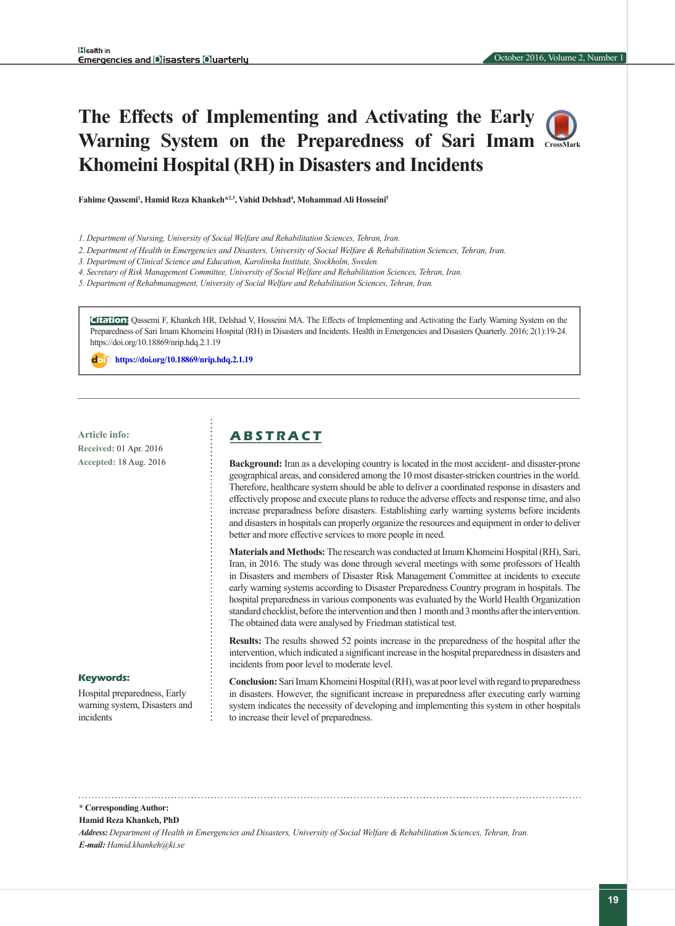# **The Effects of Implementing and Activating the Early Warning System on the Preparedness of Sari Imam [CrossMark](https://crossmark.crossref.org/dialog/?doi=10.18869/nrip.hdq.2.1.19) Khomeini Hospital (RH) in Disasters and Incidents**

**Fahime Qassemi1 , Hamid Reza Khankeh\*2,3, Vahid Delshad4 , Mohammad Ali Hosseini5**

- *1. Department of Nursing, University of Social Welfare and Rehabilitation Sciences, Tehran, Iran.*
- *2. Department of Health in Emergencies and Disasters, University of Social Welfare & Rehabilitation Sciences, Tehran, Iran.*
- *3. Department of Clinical Science and Education, Karolinska Institute, Stockholm, Sweden.*

*4. Secretary of Risk Management Committee, University of Social Welfare and Rehabilitation Sciences, Tehran, Iran.*

*5. Department of Rehabmanagment, University of Social Welfare and Rehabilitation Sciences, Tehran, Iran.*

**Citation:** Qassemi F, Khankeh HR, Delshad V, Hosseini MA. The Effects of Implementing and Activating the Early Warning System on the Preparedness of Sari Imam Khomeini Hospital (RH) in Disasters and Incidents. Health in Emergencies and Disasters Quarterly. 2016; 2(1):19-24. https://doi.org/10.18869/nrip.hdq.2.1.19

: **<https://doi.org/10.18869/nrip.hdq.2.1.19>**

**Article info: A B S T R A C T Received:** 01 Apr. 2016 **Accepted:** 18 Aug. 2016

**Background:** Iran as a developing country is located in the most accident- and disaster-prone geographical areas, and considered among the 10 most disaster-stricken countries in the world. Therefore, healthcare system should be able to deliver a coordinated response in disasters and effectively propose and execute plans to reduce the adverse effects and response time, and also increase preparadness before disasters. Establishing early warning systems before incidents and disasters in hospitals can properly organize the resources and equipment in order to deliver better and more effective services to more people in need.

**Materials and Methods:** The research was conducted at Imam Khomeini Hospital (RH), Sari, Iran, in 2016. The study was done through several meetings with some professors of Health in Disasters and members of Disaster Risk Management Committee at incidents to execute early warning systems according to Disaster Preparedness Country program in hospitals. The hospital preparedness in various components was evaluated by the World Health Organization standard checklist, before the intervention and then 1 month and 3 months after the intervention. The obtained data were analysed by Friedman statistical test.

**Results:** The results showed 52 points increase in the preparedness of the hospital after the intervention, which indicated a significant increase in the hospital preparedness in disasters and incidents from poor level to moderate level.

**Conclusion:** Sari Imam Khomeini Hospital (RH), was at poor level with regard to preparedness in disasters. However, the significant increase in preparedness after executing early warning system indicates the necessity of developing and implementing this system in other hospitals to increase their level of preparedness.

#### **Keywords:**

Hospital preparedness, Early warning system, Disasters and incidents

#### **\* Corresponding Author:**

**Hamid Reza Khankeh, PhD**

*Address: Department of Health in Emergencies and Disasters, University of Social Welfare & Rehabilitation Sciences, Tehran, Iran. E-mail: Hamid.khankeh@ki.se*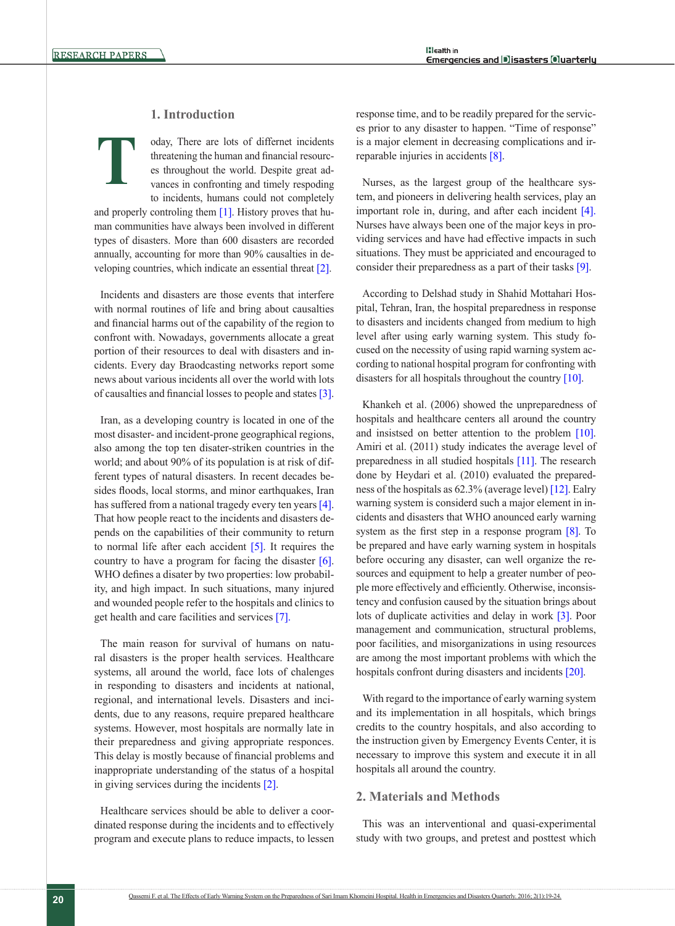**T**

# **1. Introduction**

oday, There are lots of differnet incidents threatening the human and financial resources throughout the world. Despite great advances in confronting and timely respoding to incidents, humans could not completely

and properly controling them  $[1]$ . History proves that human communities have always been involved in different types of disasters. More than 600 disasters are recorded annually, accounting for more than 90% causalties in developing countries, which indicate an essential threat [\[2\]](#page-5-0).

Incidents and disasters are those events that interfere with normal routines of life and bring about causalties and financial harms out of the capability of the region to confront with. Nowadays, governments allocate a great portion of their resources to deal with disasters and incidents. Every day Braodcasting networks report some news about various incidents all over the world with lots of causalties and financial losses to people and states [\[3\]](#page-5-1).

Iran, as a developing country is located in one of the most disaster- and incident-prone geographical regions, also among the top ten disater-striken countries in the world; and about 90% of its population is at risk of different types of natural disasters. In recent decades besides floods, local storms, and minor earthquakes, Iran has suffered from a national tragedy every ten years [\[4\]](#page-5-2). That how people react to the incidents and disasters depends on the capabilities of their community to return to normal life after each accident [\[5\].](#page-5-3) It requires the country to have a program for facing the disaster [\[6\]](#page-5-4). WHO defines a disater by two properties: low probability, and high impact. In such situations, many injured and wounded people refer to the hospitals and clinics to get health and care facilities and services [\[7\].](#page-5-5)

The main reason for survival of humans on natural disasters is the proper health services. Healthcare systems, all around the world, face lots of chalenges in responding to disasters and incidents at national, regional, and international levels. Disasters and incidents, due to any reasons, require prepared healthcare systems. However, most hospitals are normally late in their preparedness and giving appropriate responces. This delay is mostly because of financial problems and inappropriate understanding of the status of a hospital in giving services during the incidents [\[2\]](#page-5-0).

Healthcare services should be able to deliver a coordinated response during the incidents and to effectively program and execute plans to reduce impacts, to lessen response time, and to be readily prepared for the services prior to any disaster to happen. "Time of response" is a major element in decreasing complications and irreparable injuries in accidents [\[8\].](#page-5-6)

Nurses, as the largest group of the healthcare system, and pioneers in delivering health services, play an important role in, during, and after each incident [\[4\]](#page-5-2). Nurses have always been one of the major keys in providing services and have had effective impacts in such situations. They must be appriciated and encouraged to consider their preparedness as a part of their tasks [\[9\]](#page-5-7).

According to Delshad study in Shahid Mottahari Hospital, Tehran, Iran, the hospital preparedness in response to disasters and incidents changed from medium to high level after using early warning system. This study focused on the necessity of using rapid warning system according to national hospital program for confronting with disasters for all hospitals throughout the country [\[10\]](#page-5-8).

Khankeh et al. (2006) showed the unpreparedness of hospitals and healthcare centers all around the country and insistsed on better attention to the problem [\[10\]](#page-5-8). Amiri et al. (2011) study indicates the average level of preparedness in all studied hospitals [\[11\].](#page-5-9) The research done by Heydari et al. (2010) evaluated the preparedness of the hospitals as 62.3% (average level) [\[12\]](#page-5-10). Ealry warning system is considerd such a major element in incidents and disasters that WHO anounced early warning system as the first step in a response program [\[8\]](#page-5-6). To be prepared and have early warning system in hospitals before occuring any disaster, can well organize the resources and equipment to help a greater number of people more effectively and efficiently. Otherwise, inconsistency and confusion caused by the situation brings about lots of duplicate activities and delay in work [\[3\]](#page-5-1). Poor management and communication, structural problems, poor facilities, and misorganizations in using resources are among the most important problems with which the hospitals confront during disasters and incidents [\[20\].](#page-5-11)

With regard to the importance of early warning system and its implementation in all hospitals, which brings credits to the country hospitals, and also according to the instruction given by Emergency Events Center, it is necessary to improve this system and execute it in all hospitals all around the country.

## **2. Materials and Methods**

This was an interventional and quasi-experimental study with two groups, and pretest and posttest which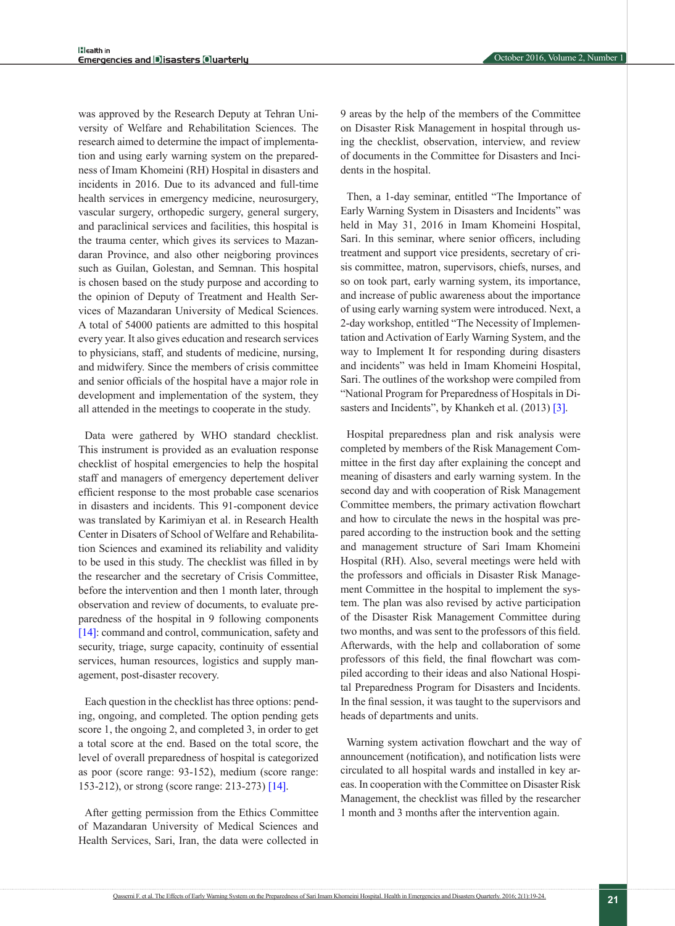was approved by the Research Deputy at Tehran University of Welfare and Rehabilitation Sciences. The research aimed to determine the impact of implementation and using early warning system on the preparedness of Imam Khomeini (RH) Hospital in disasters and incidents in 2016. Due to its advanced and full-time health services in emergency medicine, neurosurgery, vascular surgery, orthopedic surgery, general surgery, and paraclinical services and facilities, this hospital is the trauma center, which gives its services to Mazandaran Province, and also other neigboring provinces such as Guilan, Golestan, and Semnan. This hospital is chosen based on the study purpose and according to the opinion of Deputy of Treatment and Health Services of Mazandaran University of Medical Sciences. A total of 54000 patients are admitted to this hospital every year. It also gives education and research services to physicians, staff, and students of medicine, nursing, and midwifery. Since the members of crisis committee and senior officials of the hospital have a major role in development and implementation of the system, they all attended in the meetings to cooperate in the study.

Data were gathered by WHO standard checklist. This instrument is provided as an evaluation response checklist of hospital emergencies to help the hospital staff and managers of emergency depertement deliver efficient response to the most probable case scenarios in disasters and incidents. This 91-component device was translated by Karimiyan et al. in Research Health Center in Disaters of School of Welfare and Rehabilitation Sciences and examined its reliability and validity to be used in this study. The checklist was filled in by the researcher and the secretary of Crisis Committee, before the intervention and then 1 month later, through observation and review of documents, to evaluate preparedness of the hospital in 9 following components [\[14\]:](#page-5-12) command and control, communication, safety and security, triage, surge capacity, continuity of essential services, human resources, logistics and supply management, post-disaster recovery.

Each question in the checklist has three options: pending, ongoing, and completed. The option pending gets score 1, the ongoing 2, and completed 3, in order to get a total score at the end. Based on the total score, the level of overall preparedness of hospital is categorized as poor (score range: 93-152), medium (score range: 153-212), or strong (score range: 213-273) [\[14\]](#page-5-12).

After getting permission from the Ethics Committee of Mazandaran University of Medical Sciences and Health Services, Sari, Iran, the data were collected in 9 areas by the help of the members of the Committee on Disaster Risk Management in hospital through using the checklist, observation, interview, and review of documents in the Committee for Disasters and Incidents in the hospital.

Then, a 1-day seminar, entitled "The Importance of Early Warning System in Disasters and Incidents" was held in May 31, 2016 in Imam Khomeini Hospital, Sari. In this seminar, where senior officers, including treatment and support vice presidents, secretary of crisis committee, matron, supervisors, chiefs, nurses, and so on took part, early warning system, its importance, and increase of public awareness about the importance of using early warning system were introduced. Next, a 2-day workshop, entitled "The Necessity of Implementation and Activation of Early Warning System, and the way to Implement It for responding during disasters and incidents" was held in Imam Khomeini Hospital, Sari. The outlines of the workshop were compiled from "National Program for Preparedness of Hospitals in Di-sasters and Incidents", by Khankeh et al. (2013) [\[3\].](#page-5-1)

Hospital preparedness plan and risk analysis were completed by members of the Risk Management Committee in the first day after explaining the concept and meaning of disasters and early warning system. In the second day and with cooperation of Risk Management Committee members, the primary activation flowchart and how to circulate the news in the hospital was prepared according to the instruction book and the setting and management structure of Sari Imam Khomeini Hospital (RH). Also, several meetings were held with the professors and officials in Disaster Risk Management Committee in the hospital to implement the system. The plan was also revised by active participation of the Disaster Risk Management Committee during two months, and was sent to the professors of this field. Afterwards, with the help and collaboration of some professors of this field, the final flowchart was compiled according to their ideas and also National Hospital Preparedness Program for Disasters and Incidents. In the final session, it was taught to the supervisors and heads of departments and units.

Warning system activation flowchart and the way of announcement (notification), and notification lists were circulated to all hospital wards and installed in key areas. In cooperation with the Committee on Disaster Risk Management, the checklist was filled by the researcher 1 month and 3 months after the intervention again.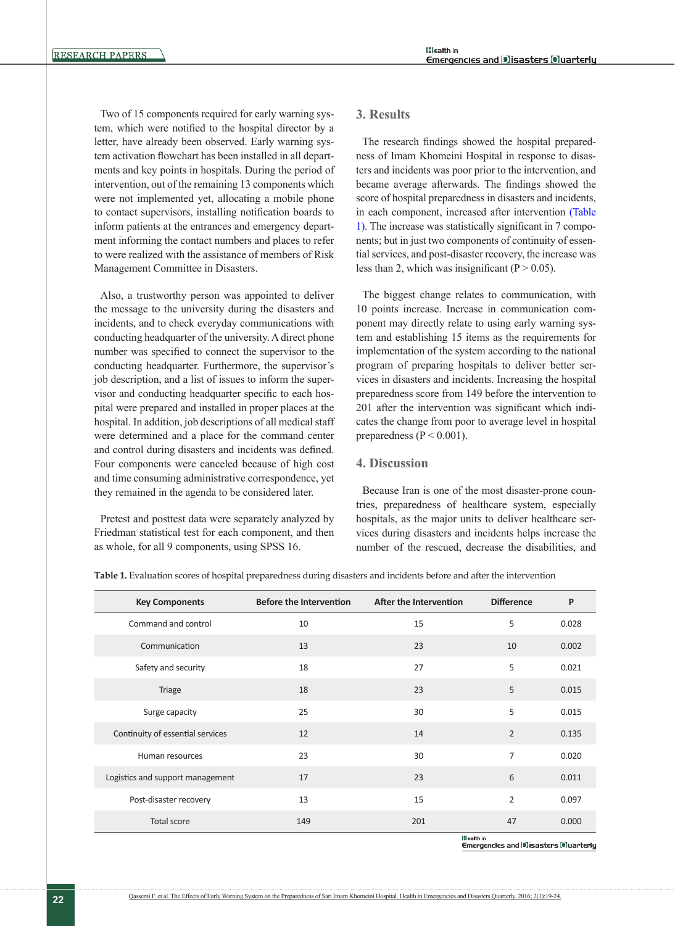Two of 15 components required for early warning system, which were notified to the hospital director by a letter, have already been observed. Early warning system activation flowchart has been installed in all departments and key points in hospitals. During the period of intervention, out of the remaining 13 components which were not implemented yet, allocating a mobile phone to contact supervisors, installing notification boards to inform patients at the entrances and emergency department informing the contact numbers and places to refer to were realized with the assistance of members of Risk Management Committee in Disasters.

Also, a trustworthy person was appointed to deliver the message to the university during the disasters and incidents, and to check everyday communications with conducting headquarter of the university. A direct phone number was specified to connect the supervisor to the conducting headquarter. Furthermore, the supervisor's job description, and a list of issues to inform the supervisor and conducting headquarter specific to each hospital were prepared and installed in proper places at the hospital. In addition, job descriptions of all medical staff were determined and a place for the command center and control during disasters and incidents was defined. Four components were canceled because of high cost and time consuming administrative correspondence, yet they remained in the agenda to be considered later.

Pretest and posttest data were separately analyzed by Friedman statistical test for each component, and then as whole, for all 9 components, using SPSS 16.

#### **3. Results**

The research findings showed the hospital preparedness of Imam Khomeini Hospital in response to disasters and incidents was poor prior to the intervention, and became average afterwards. The findings showed the score of hospital preparedness in disasters and incidents, in each component, increased after intervention [\(Table](#page-3-0)  [1\)](#page-3-0). The increase was statistically significant in 7 components; but in just two components of continuity of essential services, and post-disaster recovery, the increase was less than 2, which was insignificant ( $P > 0.05$ ).

The biggest change relates to communication, with 10 points increase. Increase in communication component may directly relate to using early warning system and establishing 15 items as the requirements for implementation of the system according to the national program of preparing hospitals to deliver better services in disasters and incidents. Increasing the hospital preparedness score from 149 before the intervention to 201 after the intervention was significant which indicates the change from poor to average level in hospital preparedness ( $P < 0.001$ ).

### **4. Discussion**

Because Iran is one of the most disaster-prone countries, preparedness of healthcare system, especially hospitals, as the major units to deliver healthcare services during disasters and incidents helps increase the number of the rescued, decrease the disabilities, and

<span id="page-3-0"></span>**Table 1.** Evaluation scores of hospital preparedness during disasters and incidents before and after the intervention

| <b>Key Components</b>            | <b>Before the Intervention</b> | After the Intervention | <b>Difference</b> | P     |
|----------------------------------|--------------------------------|------------------------|-------------------|-------|
| Command and control              | 10                             | 15                     | 5                 | 0.028 |
| Communication                    | 13                             | 23                     | 10                | 0.002 |
| Safety and security              | 18                             | 27                     | 5                 | 0.021 |
| <b>Triage</b>                    | 18                             | 23                     | 5                 | 0.015 |
| Surge capacity                   | 25                             | 30                     | 5                 | 0.015 |
| Continuity of essential services | 12                             | 14                     | $\overline{2}$    | 0.135 |
| Human resources                  | 23                             | 30                     | 7                 | 0.020 |
| Logistics and support management | 17                             | 23                     | 6                 | 0.011 |
| Post-disaster recovery           | 13                             | 15                     | 2                 | 0.097 |
| <b>Total score</b>               | 149                            | 201                    | 47                | 0.000 |

**Bleath** in Emergencies and Disasters Oluarterly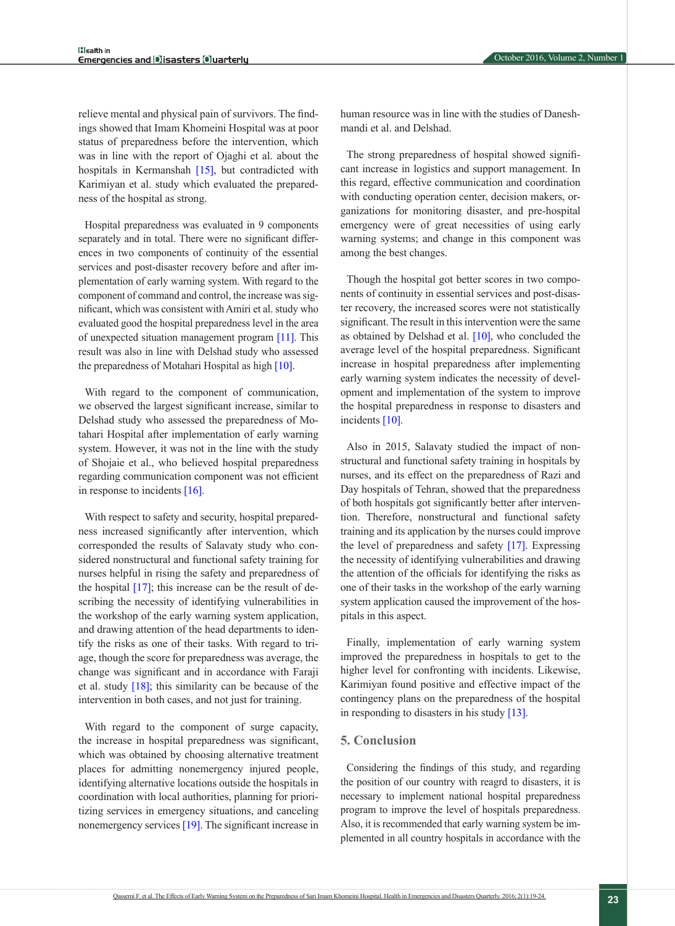relieve mental and physical pain of survivors. The findings showed that Imam Khomeini Hospital was at poor status of preparedness before the intervention, which was in line with the report of Ojaghi et al. about the hospitals in Kermanshah [\[15\]](#page-5-13), but contradicted with Karimiyan et al. study which evaluated the preparedness of the hospital as strong.

Hospital preparedness was evaluated in 9 components separately and in total. There were no significant differences in two components of continuity of the essential services and post-disaster recovery before and after implementation of early warning system. With regard to the component of command and control, the increase was significant, which was consistent with Amiri et al. study who evaluated good the hospital preparedness level in the area of unexpected situation management program [\[11\].](#page-5-9) This result was also in line with Delshad study who assessed the preparedness of Motahari Hospital as high [\[10\]](#page-5-8).

With regard to the component of communication, we observed the largest significant increase, similar to Delshad study who assessed the preparedness of Motahari Hospital after implementation of early warning system. However, it was not in the line with the study of Shojaie et al., who believed hospital preparedness regarding communication component was not efficient in response to incidents [\[16\]](#page-5-14).

With respect to safety and security, hospital preparedness increased significantly after intervention, which corresponded the results of Salavaty study who considered nonstructural and functional safety training for nurses helpful in rising the safety and preparedness of the hospital [\[17\]](#page-5-15); this increase can be the result of describing the necessity of identifying vulnerabilities in the workshop of the early warning system application, and drawing attention of the head departments to identify the risks as one of their tasks. With regard to triage, though the score for preparedness was average, the change was significant and in accordance with Faraji et al. study  $[18]$ ; this similarity can be because of the intervention in both cases, and not just for training.

With regard to the component of surge capacity, the increase in hospital preparedness was significant, which was obtained by choosing alternative treatment places for admitting nonemergency injured people, identifying alternative locations outside the hospitals in coordination with local authorities, planning for prioritizing services in emergency situations, and canceling nonemergency services [\[19\]](#page-5-17). The significant increase in

human resource was in line with the studies of Daneshmandi et al. and Delshad.

The strong preparedness of hospital showed significant increase in logistics and support management. In this regard, effective communication and coordination with conducting operation center, decision makers, organizations for monitoring disaster, and pre-hospital emergency were of great necessities of using early warning systems; and change in this component was among the best changes.

Though the hospital got better scores in two components of continuity in essential services and post-disaster recovery, the increased scores were not statistically significant. The result in this intervention were the same as obtained by Delshad et al. [\[10\]](#page-5-8), who concluded the average level of the hospital preparedness. Significant increase in hospital preparedness after implementing early warning system indicates the necessity of development and implementation of the system to improve the hospital preparedness in response to disasters and incidents [\[10\].](#page-5-8)

Also in 2015, Salavaty studied the impact of nonstructural and functional safety training in hospitals by nurses, and its effect on the preparedness of Razi and Day hospitals of Tehran, showed that the preparedness of both hospitals got significantly better after intervention. Therefore, nonstructural and functional safety training and its application by the nurses could improve the level of preparedness and safety [\[17\]](#page-5-15). Expressing the necessity of identifying vulnerabilities and drawing the attention of the officials for identifying the risks as one of their tasks in the workshop of the early warning system application caused the improvement of the hospitals in this aspect.

Finally, implementation of early warning system improved the preparedness in hospitals to get to the higher level for confronting with incidents. Likewise, Karimiyan found positive and effective impact of the contingency plans on the preparedness of the hospital in responding to disasters in his study [\[13\].](#page-5-18)

#### **5. Conclusion**

Considering the findings of this study, and regarding the position of our country with reagrd to disasters, it is necessary to implement national hospital preparedness program to improve the level of hospitals preparedness. Also, it is recommended that early warning system be implemented in all country hospitals in accordance with the